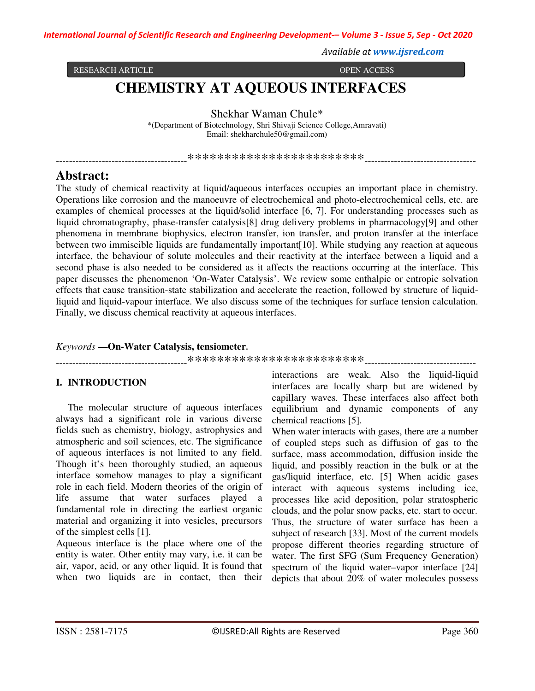*International Journal of Scientific Research and Engineering Development-– Volume 3 - Issue 5, Sep - Oct 2020*

*Available at www.ijsred.com*

RESEARCH ARTICLE **OPEN ACCESS** 

# **CHEMISTRY AT AQUEOUS INTERFACES**

Shekhar Waman Chule\*

\*(Department of Biotechnology, Shri Shivaji Science College,Amravati) Email: shekharchule50@gmail.com)

----------------------------------------\*\*\*\*\*\*\*\*\*\*\*\*\*\*\*\*\*\*\*\*\*\*\*\*----------------------------------

## **Abstract:**

The study of chemical reactivity at liquid/aqueous interfaces occupies an important place in chemistry. Operations like corrosion and the manoeuvre of electrochemical and photo-electrochemical cells, etc. are examples of chemical processes at the liquid/solid interface [6, 7]. For understanding processes such as liquid chromatography, phase-transfer catalysis[8] drug delivery problems in pharmacology[9] and other phenomena in membrane biophysics, electron transfer, ion transfer, and proton transfer at the interface between two immiscible liquids are fundamentally important[10]. While studying any reaction at aqueous interface, the behaviour of solute molecules and their reactivity at the interface between a liquid and a second phase is also needed to be considered as it affects the reactions occurring at the interface. This paper discusses the phenomenon 'On-Water Catalysis'. We review some enthalpic or entropic solvation effects that cause transition-state stabilization and accelerate the reaction, followed by structure of liquidliquid and liquid-vapour interface. We also discuss some of the techniques for surface tension calculation. Finally, we discuss chemical reactivity at aqueous interfaces.

## *Keywords* **—On-Water Catalysis, tensiometer.**

----------------------------------------\*\*\*\*\*\*\*\*\*\*\*\*\*\*\*\*\*\*\*\*\*\*\*\*----------------------------------

## **I. INTRODUCTION**

The molecular structure of aqueous interfaces always had a significant role in various diverse fields such as chemistry, biology, astrophysics and atmospheric and soil sciences, etc. The significance of aqueous interfaces is not limited to any field. Though it's been thoroughly studied, an aqueous interface somehow manages to play a significant role in each field. Modern theories of the origin of life assume that water surfaces played a fundamental role in directing the earliest organic material and organizing it into vesicles, precursors of the simplest cells [1].

Aqueous interface is the place where one of the entity is water. Other entity may vary, i.e. it can be air, vapor, acid, or any other liquid. It is found that when two liquids are in contact, then their

interactions are weak. Also the liquid-liquid interfaces are locally sharp but are widened by capillary waves. These interfaces also affect both equilibrium and dynamic components of any chemical reactions [5].

When water interacts with gases, there are a number of coupled steps such as diffusion of gas to the surface, mass accommodation, diffusion inside the liquid, and possibly reaction in the bulk or at the gas/liquid interface, etc. [5] When acidic gases interact with aqueous systems including ice, processes like acid deposition, polar stratospheric clouds, and the polar snow packs, etc. start to occur. Thus, the structure of water surface has been a subject of research [33]. Most of the current models propose different theories regarding structure of water. The first SFG (Sum Frequency Generation) spectrum of the liquid water–vapor interface [24] depicts that about 20% of water molecules possess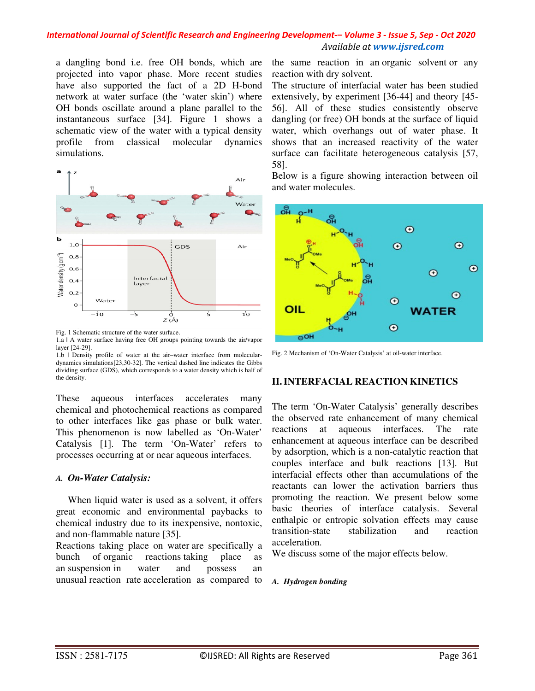a dangling bond i.e. free OH bonds, which are projected into vapor phase. More recent studies have also supported the fact of a 2D H-bond network at water surface (the 'water skin') where OH bonds oscillate around a plane parallel to the instantaneous surface [34]. Figure 1 shows a schematic view of the water with a typical density profile from classical molecular dynamics simulations.



Fig. 1 Schematic structure of the water surface.

1.a | A water surface having free OH groups pointing towards the air/vapor layer [24-29].

1.b | Density profile of water at the air–water interface from moleculardynamics simulations[23,30-32]. The vertical dashed line indicates the Gibbs dividing surface (GDS), which corresponds to a water density which is half of the density.

These aqueous interfaces accelerates many chemical and photochemical reactions as compared to other interfaces like gas phase or bulk water. This phenomenon is now labelled as 'On-Water' Catalysis [1]. The term 'On-Water' refers to processes occurring at or near aqueous interfaces.

## *A. On-Water Catalysis:*

When liquid water is used as a solvent, it offers great economic and environmental paybacks to chemical industry due to its inexpensive, nontoxic, and non-flammable nature [35].

Reactions taking place on water are specifically a bunch of organic reactions taking place as an suspension in water and possess an unusual reaction rate acceleration as compared to

the same reaction in an organic solvent or any reaction with dry solvent.

The structure of interfacial water has been studied extensively, by experiment [36-44] and theory [45- 56]. All of these studies consistently observe dangling (or free) OH bonds at the surface of liquid water, which overhangs out of water phase. It shows that an increased reactivity of the water surface can facilitate heterogeneous catalysis [57, 58].

Below is a figure showing interaction between oil and water molecules.



Fig. 2 Mechanism of 'On-Water Catalysis' at oil-water interface.

## **II.INTERFACIAL REACTION KINETICS**

The term 'On-Water Catalysis' generally describes the observed rate enhancement of many chemical reactions at aqueous interfaces. The rate enhancement at aqueous interface can be described by adsorption, which is a non-catalytic reaction that couples interface and bulk reactions [13]. But interfacial effects other than accumulations of the reactants can lower the activation barriers thus promoting the reaction. We present below some basic theories of interface catalysis. Several enthalpic or entropic solvation effects may cause transition-state stabilization and reaction acceleration.

We discuss some of the major effects below.

*A. Hydrogen bonding*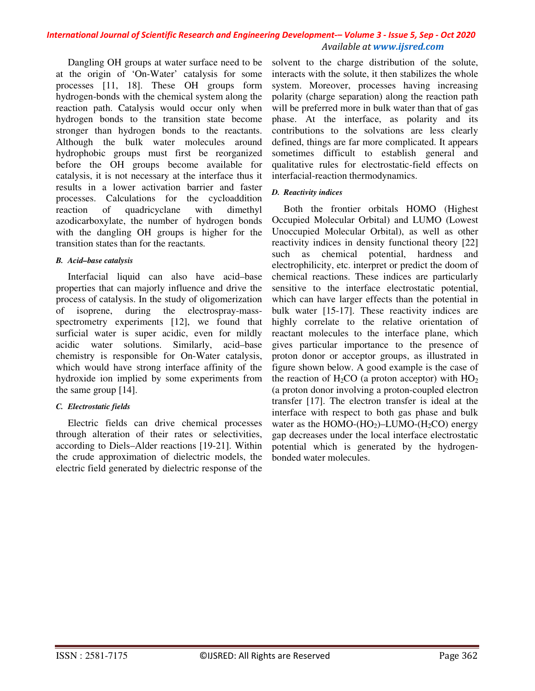Dangling OH groups at water surface need to be at the origin of 'On-Water' catalysis for some processes [11, 18]. These OH groups form hydrogen-bonds with the chemical system along the reaction path. Catalysis would occur only when hydrogen bonds to the transition state become stronger than hydrogen bonds to the reactants. Although the bulk water molecules around hydrophobic groups must first be reorganized before the OH groups become available for catalysis, it is not necessary at the interface thus it results in a lower activation barrier and faster processes. Calculations for the cycloaddition reaction of quadricyclane with dimethyl azodicarboxylate, the number of hydrogen bonds with the dangling OH groups is higher for the transition states than for the reactants.

## *B. Acid–base catalysis*

Interfacial liquid can also have acid–base properties that can majorly influence and drive the process of catalysis. In the study of oligomerization of isoprene, during the electrospray-massspectrometry experiments [12], we found that surficial water is super acidic, even for mildly acidic water solutions. Similarly, acid–base chemistry is responsible for On-Water catalysis, which would have strong interface affinity of the hydroxide ion implied by some experiments from the same group [14].

## *C. Electrostatic fields*

Electric fields can drive chemical processes through alteration of their rates or selectivities, according to Diels–Alder reactions [19-21]. Within the crude approximation of dielectric models, the electric field generated by dielectric response of the

solvent to the charge distribution of the solute, interacts with the solute, it then stabilizes the whole system. Moreover, processes having increasing polarity (charge separation) along the reaction path will be preferred more in bulk water than that of gas phase. At the interface, as polarity and its contributions to the solvations are less clearly defined, things are far more complicated. It appears sometimes difficult to establish general and qualitative rules for electrostatic-field effects on interfacial-reaction thermodynamics.

## *D. Reactivity indices*

Both the frontier orbitals HOMO (Highest Occupied Molecular Orbital) and LUMO (Lowest Unoccupied Molecular Orbital), as well as other reactivity indices in density functional theory [22] such as chemical potential, hardness and electrophilicity, etc. interpret or predict the doom of chemical reactions. These indices are particularly sensitive to the interface electrostatic potential, which can have larger effects than the potential in bulk water [15-17]. These reactivity indices are highly correlate to the relative orientation of reactant molecules to the interface plane, which gives particular importance to the presence of proton donor or acceptor groups, as illustrated in figure shown below. A good example is the case of the reaction of  $H_2CO$  (a proton acceptor) with  $HO_2$ (a proton donor involving a proton-coupled electron transfer [17]. The electron transfer is ideal at the interface with respect to both gas phase and bulk water as the HOMO- $(HO<sub>2</sub>)$ –LUMO- $(H<sub>2</sub>CO)$  energy gap decreases under the local interface electrostatic potential which is generated by the hydrogenbonded water molecules.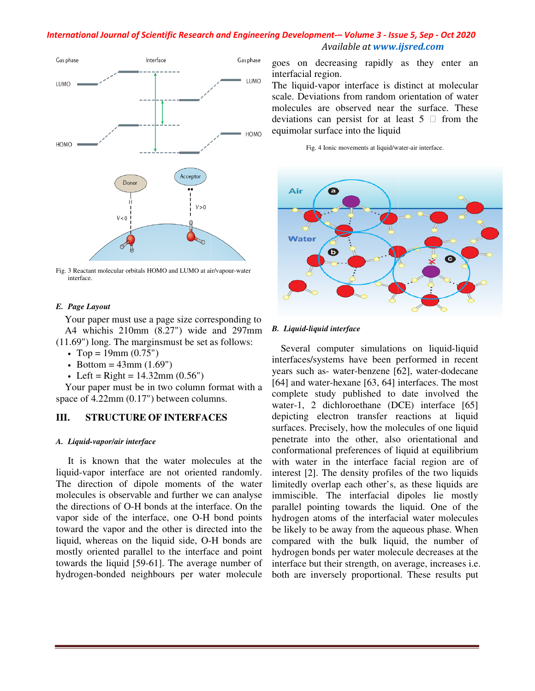

Fig. 3 Reactant molecular orbitals HOMO and LUMO at air/vapour interface.

#### *E. Page Layout*

Your paper must use a page size corresponding to A4 whichis 210mm (8.27") wide and 297mm (11.69") long. The marginsmust be set as follows:

- 
- Top = 19mm  $(0.75")$
- Bottom =  $43$ mm  $(1.69")$
- Left =  $Right = 14.32$ mm  $(0.56")$

Your paper must be in two column format with a space of 4.22mm (0.17") between columns.

## **III. STRUCTURE OF INTERFACES**

#### *A. Liquid-vapor/air interface*

It is known that the water molecules at the liquid-vapor interface are not oriented randomly. The direction of dipole moments of the water molecules is observable and further we can the directions of O-H bonds at the interface. On the vapor side of the interface, one O-H bond points toward the vapor and the other is directed into the liquid, whereas on the liquid side, Omostly oriented parallel to the interface and point towards the liquid [59-61]. The average number of hydrogen-bonded neighbours per water molecule exampled and 297mm<br>air/vapour-water<br>responding to<br>and 297mm<br>in a complement of the set of the water<br>and analyse in<br>the cellus at the water is<br>of the water live can analyse in<br>expected into the planet of the D-H bonds are<br>a r paper must use a page size corresponding to<br>whichis 210mm (8.27") wide and 297mm<br>") long. The marginsmust be set as follows:<br>op = 19mm (0.75")<br>ottom = 43mm (1.69")<br>eft = Right = 14.32mm (0.56")<br>r paper must be in two co h of O-H bonds at the interface. On the<br>of the interface, one O-H bond points<br>vapor and the other is directed into the<br>reas on the liquid side, O-H bonds are

interfacial region.

The liquid-vapor interface is distinct at molecular scale. Deviations from random orientation of water molecules are observed near the surface. These deviations can persist for at least  $5 \Box$  from the equimolar surface into the liquid vapor interface is distinct at molecular<br>ations from random orientation of water<br>are observed near the surface. These<br>can persist for at least  $5 \Box$  from the





#### *B. Liquid-liquid interface*

**EXEREM (SEE ALT ASSOCIATE ACT AND A SEE ALT AND A SEE ALT AND A SEE ALT AND A SEE ALT AND A SEE ALT AND A SEE ALT AND A SEE ALT AND A SEE ALT AND A SEE ALT AND A SEE ALT AND A SEE ALT AND A SEE ALT AND A SEE ALT AND A SE** Several computer simulations on liquid-liquid interfaces/systems have been performed in recent years such as- water-benzene [62], water-dodecane [64] and water-hexane [63, 64] interfaces. The most complete study published to date involved the water-1, 2 dichloroethane (DCE) interface [65] depicting electron transfer reactions at liquid surfaces. Precisely, how the molecules of one liquid penetrate into the other, also orientational and conformational preferences of liquid at equilibrium with water in the interface facial region are of interest [2]. The density profiles of the two liquids limitedly overlap each other's, as these liquids are immiscible. The interfacial dipoles lie mostly parallel pointing towards the liquid. One of the hydrogen atoms of the interfacial water molecules be likely to be away from the aqueous phase. When compared with the bulk liquid, the number of hydrogen bonds per water molecule decreases at the interface but their strength, on average, increases i.e. both are inversely proportional. These results put [64] and water-hexane [63, 64] interfaces. The most complete study published to date involved the water-1, 2 dichloroethane (DCE) interface [65] depicting electron transfer reactions at liquid surfaces. Precisely, how the with water in the interface facial region are<br>interest [2]. The density profiles of the two liqu<br>limitedly overlap each other's, as these liquids<br>immiscible. The interfacial dipoles lie mos<br>parallel pointing towards the li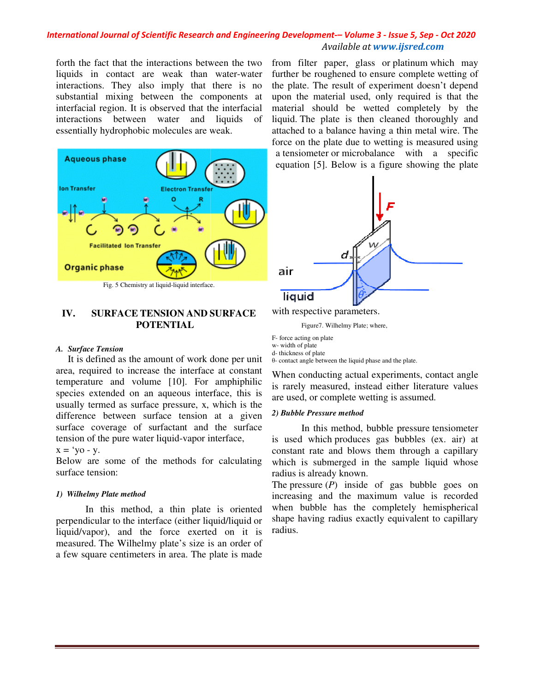forth the fact that the interactions between the two liquids in contact are weak than water-water interactions. They also imply that there is no substantial mixing between the components at interfacial region. It is observed that the interfacial interactions between water and liquids of essentially hydrophobic molecules are weak. there is no<br>between the components at<br>is observed that the interfacial



## **IV. SURFACE TENSION AND SURFACE POTENTIAL**

#### *A. Surface Tension*

It is defined as the amount of work done per unit area, required to increase the interface at constant temperature and volume [10]. For amphiphilic species extended on an aqueous interface, this is usually termed as surface pressure, x, which is the difference between surface tension at a given surface coverage of surfactant and the surface tension of the pure water liquid-vapor interface,

#### $x = 'yo - y$ .

Below are some of the methods for calculating surface tension:

#### *1) Wilhelmy Plate method*

In this method, a thin plate is oriented perpendicular to the interface (either liquid/liquid or liquid/vapor), and the force exerted on it is measured. The Wilhelmy plate's size is an order of a few square centimeters in area. The plate is made

further be roughened to ensure complete wetting of the plate. The result of experiment doesn't depend upon the material used, only required is that the material should be wetted completely by the liquid. The plate is then cleaned thoroughly and attached to a balance having a thin metal wire. The force on the plate due to wetting is measured using a tensiometer or microbalance with a specific equation [5]. Below is a figure showing the plate from filter paper, glass or platinum which may The result of experiment doesn't depend<br>material used, only required is that the<br>should be wetted completely by the<br>ne plate is then cleaned thoroughly and<br>to a balance having a thin metal wire. The<br>the plate due to wettin



with respective parameters.

Figure7. Wilhelmy Plate; where,

F- force acting on plate

w- width of plate d- thickness of plate

θ- contact angle between the liquid phase and the plate.

When conducting actual experiments, contact angle is rarely measured, instead either literature values are used, or complete wetting is assumed. In this method, bubble pressure tensiometer<br>
In this method, bubble pressure tensiometer<br>
In this method, bubble pressure tensiometer

## *2) Bubble Pressure method*

is used which produces gas bubbles (ex. air) at constant rate and blows them through a capillary which is submerged in the sample liquid whose radius is already known.

The pressure (*P*) inside of gas bubble goes on increasing and the maximum value is recorded when bubble has the completely hemispherical shape having radius exactly equivalent to capillary radius. is used which produces gas bubbles (ex. air)<br>constant rate and blows them through a capilla<br>which is submerged in the sample liquid who<br>radius is already known.<br>The pressure  $(P)$  inside of gas bubble goes<br>increasing and t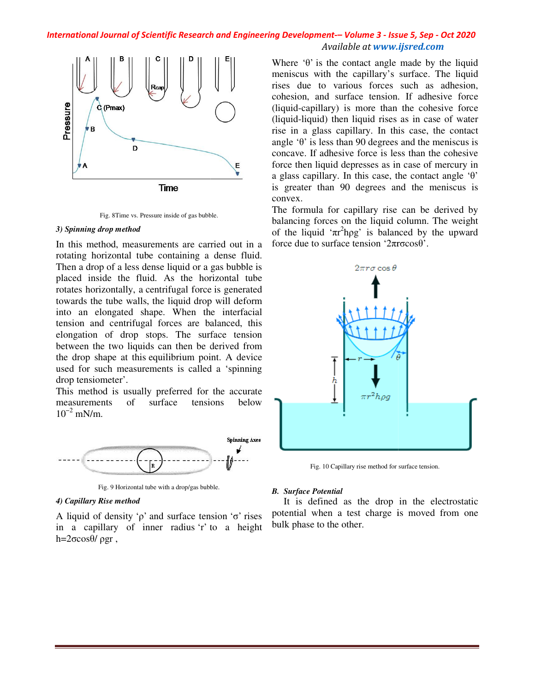

Fig. 8Time vs. Pressure inside of gas bubble.

#### *3) Spinning drop method*

In this method, measurements are carried out in a rotating horizontal tube containing a dense fluid. Then a drop of a less dense liquid or a gas bubble is placed inside the fluid. As the horizontal tube rotates horizontally, a centrifugal force towards the tube walls, the liquid drop will deform into an elongated shape. When the interfacial tension and centrifugal forces are balanced, this elongation of drop stops. The surface tension between the two liquids can then be derived from the drop shape at this equilibrium point used for such measurements is called a 'spinning drop tensiometer'. Example 18. Pressure inside of gas bubble.<br>
The medid that all the containing a dense fluid.<br>
In a less dense liquid or a gas bubble is<br>
the fluid. As the horizontal tube<br>
ally, a centrifugal force is generated<br>
ally, a c stops. The surface tension<br>ds can then be derived from<br>equilibrium point. A device

This method is usually preferred for the accurate measurements of surface tensions below  $10^{-2}$  mN/m.



Fig. 9 Horizontal tube with a drop/gas bubble.

#### *4) Capillary Rise method*

A liquid of density ' $ρ$ ' and surface tension ' $σ$ ' rises in a capillary of inner radius 'r' to a height h= $2\sigma cos θ/ρ$ gr,

Where  $\theta$  is the contact angle made by the liquid meniscus with the capillary's surface. The liquid rises due to various forces such as adhesion, cohesion, and surface tension. If adhesive force (liquid-capillary) is more than the cohesive force (liquid-liquid) then liquid rises as in case of water rise in a glass capillary. In this case, the contact angle  $\theta$  is less than 90 degrees and the meniscus is concave. If adhesive force is less than the cohesive force then liquid depresses as in case of mercury in a glass capillary. In this case, the contact angle  $\theta$ is greater than 90 degrees and the meniscus is convex. rises due to various forces such as adhesion, cohesion, and surface tension. If adhesive force (liquid-capillary) is more than the cohesive force (liquid-liquid) then liquid rises as in case of water rise in a glass capil

The formula for capillary rise can be derived by balancing forces on the liquid column. The weight of the liquid ' $\pi r^2$ hpg' is balanced by the upward force due to surface tension '2πrσ than 90 degrees and the meniscus<br>la for capillary rise can be derived<br>orces on the liquid column. The weig<br>id ' $\pi r^2$ hpg' is balanced by the upwa<br>o surface tension ' $2\pi r\sigma cos\theta$ '.



Fig. 10 Capillary rise method for surface tension.

#### *B. Surface Potential*

It is defined as the drop in the electrostatic It is defined as the drop in the electrostatic potential when a test charge is moved from one bulk phase to the other.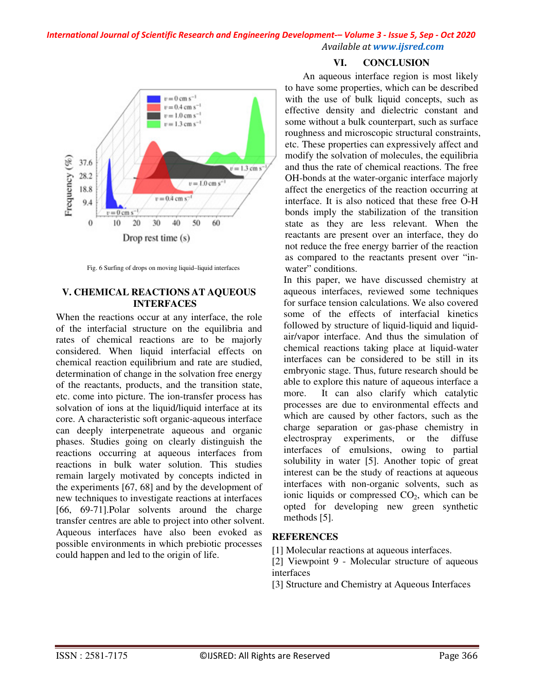

Fig. 6 Surfing of drops on moving liquid–liquid interfaces

## **V. CHEMICAL REACTIONS AT AQUEOUS INTERFACES**

When the reactions occur at any interface, the role of the interfacial structure on the equilibria and rates of chemical reactions are to be majorly considered. When liquid interfacial effects on chemical reaction equilibrium and rate are studied, determination of change in the solvation free energy of the reactants, products, and the transition state, etc. come into picture. The ion-transfer process has solvation of ions at the liquid/liquid interface at its core. A characteristic soft organic-aqueous interface can deeply interpenetrate aqueous and organic phases. Studies going on clearly distinguish the reactions occurring at aqueous interfaces from reactions in bulk water solution. This studies remain largely motivated by concepts indicted in the experiments [67, 68] and by the development of new techniques to investigate reactions at interfaces [66, 69-71].Polar solvents around the charge transfer centres are able to project into other solvent. Aqueous interfaces have also been evoked as possible environments in which prebiotic processes could happen and led to the origin of life.

## **VI. CONCLUSION**

An aqueous interface region is most likely to have some properties, which can be described with the use of bulk liquid concepts, such as effective density and dielectric constant and some without a bulk counterpart, such as surface roughness and microscopic structural constraints, etc. These properties can expressively affect and modify the solvation of molecules, the equilibria and thus the rate of chemical reactions. The free OH-bonds at the water-organic interface majorly affect the energetics of the reaction occurring at interface. It is also noticed that these free O-H bonds imply the stabilization of the transition state as they are less relevant. When the reactants are present over an interface, they do not reduce the free energy barrier of the reaction as compared to the reactants present over "inwater" conditions.

In this paper, we have discussed chemistry at aqueous interfaces, reviewed some techniques for surface tension calculations. We also covered some of the effects of interfacial kinetics followed by structure of liquid-liquid and liquidair/vapor interface. And thus the simulation of chemical reactions taking place at liquid-water interfaces can be considered to be still in its embryonic stage. Thus, future research should be able to explore this nature of aqueous interface a more. It can also clarify which catalytic processes are due to environmental effects and which are caused by other factors, such as the charge separation or gas-phase chemistry in electrospray experiments, or the diffuse interfaces of emulsions, owing to partial solubility in water [5]. Another topic of great interest can be the study of reactions at aqueous interfaces with non-organic solvents, such as ionic liquids or compressed  $CO<sub>2</sub>$ , which can be opted for developing new green synthetic methods [5].

## **REFERENCES**

[1] Molecular reactions at aqueous interfaces.

[2] Viewpoint 9 - Molecular structure of aqueous interfaces

[3] Structure and Chemistry at Aqueous Interfaces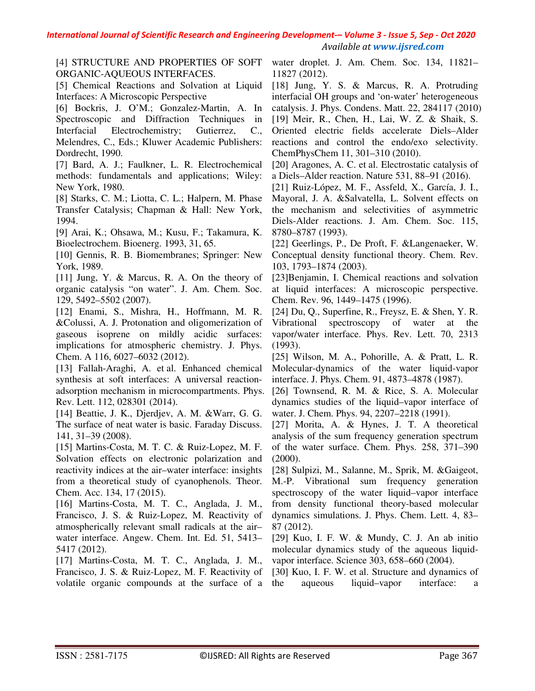[4] STRUCTURE AND PROPERTIES OF SOFT ORGANIC-AQUEOUS INTERFACES.

[5] Chemical Reactions and Solvation at Liquid Interfaces: A Microscopic Perspective

[6] Bockris, J. O'M.; Gonzalez-Martin, A. In Spectroscopic and Diffraction Techniques in Interfacial Electrochemistry; Gutierrez, C., Melendres, C., Eds.; Kluwer Academic Publishers: Dordrecht, 1990.

[7] Bard, A. J.; Faulkner, L. R. Electrochemical methods: fundamentals and applications; Wiley: New York, 1980.

[8] Starks, C. M.; Liotta, C. L.; Halpern, M. Phase Transfer Catalysis; Chapman & Hall: New York, 1994.

[9] Arai, K.; Ohsawa, M.; Kusu, F.; Takamura, K. Bioelectrochem. Bioenerg. 1993, 31, 65.

[10] Gennis, R. B. Biomembranes; Springer: New York, 1989.

[11] Jung, Y. & Marcus, R. A. On the theory of organic catalysis "on water". J. Am. Chem. Soc. 129, 5492–5502 (2007).

[12] Enami, S., Mishra, H., Hoffmann, M. R. &Colussi, A. J. Protonation and oligomerization of gaseous isoprene on mildly acidic surfaces: implications for atmospheric chemistry. J. Phys. Chem. A 116, 6027–6032 (2012).

[13] Fallah-Araghi, A. et al. Enhanced chemical synthesis at soft interfaces: A universal reactionadsorption mechanism in microcompartments. Phys. Rev. Lett. 112, 028301 (2014).

[14] Beattie, J. K., Djerdjev, A. M. &Warr, G. G. The surface of neat water is basic. Faraday Discuss. 141, 31–39 (2008).

[15] Martins-Costa, M. T. C. & Ruiz-Lopez, M. F. Solvation effects on electronic polarization and reactivity indices at the air–water interface: insights from a theoretical study of cyanophenols. Theor. Chem. Acc. 134, 17 (2015).

[16] Martins-Costa, M. T. C., Anglada, J. M., Francisco, J. S. & Ruiz-Lopez, M. Reactivity of atmospherically relevant small radicals at the air– water interface. Angew. Chem. Int. Ed. 51, 5413– 5417 (2012).

[17] Martins-Costa, M. T. C., Anglada, J. M., Francisco, J. S. & Ruiz-Lopez, M. F. Reactivity of volatile organic compounds at the surface of a

water droplet. J. Am. Chem. Soc. 134, 11821– 11827 (2012).

[18] Jung, Y. S. & Marcus, R. A. Protruding interfacial OH groups and 'on-water' heterogeneous catalysis. J. Phys. Condens. Matt. 22, 284117 (2010)

[19] Meir, R., Chen, H., Lai, W. Z. & Shaik, S. Oriented electric fields accelerate Diels–Alder reactions and control the endo/exo selectivity. ChemPhysChem 11, 301–310 (2010).

[20] Aragones, A. C. et al. Electrostatic catalysis of a Diels–Alder reaction. Nature 531, 88–91 (2016).

[21] Ruiz-López, M. F., Assfeld, X., García, J. I., Mayoral, J. A. &Salvatella, L. Solvent effects on the mechanism and selectivities of asymmetric Diels-Alder reactions. J. Am. Chem. Soc. 115, 8780–8787 (1993).

[22] Geerlings, P., De Proft, F. &Langenaeker, W. Conceptual density functional theory. Chem. Rev. 103, 1793–1874 (2003).

[23]Benjamin, I. Chemical reactions and solvation at liquid interfaces: A microscopic perspective. Chem. Rev. 96, 1449–1475 (1996).

[24] Du, Q., Superfine, R., Freysz, E. & Shen, Y. R. Vibrational spectroscopy of water at the vapor/water interface. Phys. Rev. Lett. 70, 2313 (1993).

[25] Wilson, M. A., Pohorille, A. & Pratt, L. R. Molecular-dynamics of the water liquid-vapor interface. J. Phys. Chem. 91, 4873–4878 (1987).

[26] Townsend, R. M. & Rice, S. A. Molecular dynamics studies of the liquid–vapor interface of water. J. Chem. Phys. 94, 2207–2218 (1991).

[27] Morita, A. & Hynes, J. T. A theoretical analysis of the sum frequency generation spectrum of the water surface. Chem. Phys. 258, 371–390 (2000).

[28] Sulpizi, M., Salanne, M., Sprik, M. &Gaigeot, M.-P. Vibrational sum frequency generation spectroscopy of the water liquid–vapor interface from density functional theory-based molecular dynamics simulations. J. Phys. Chem. Lett. 4, 83– 87 (2012).

[29] Kuo, I. F. W. & Mundy, C. J. An ab initio molecular dynamics study of the aqueous liquidvapor interface. Science 303, 658–660 (2004).

[30] Kuo, I. F. W. et al. Structure and dynamics of the aqueous liquid–vapor interface: a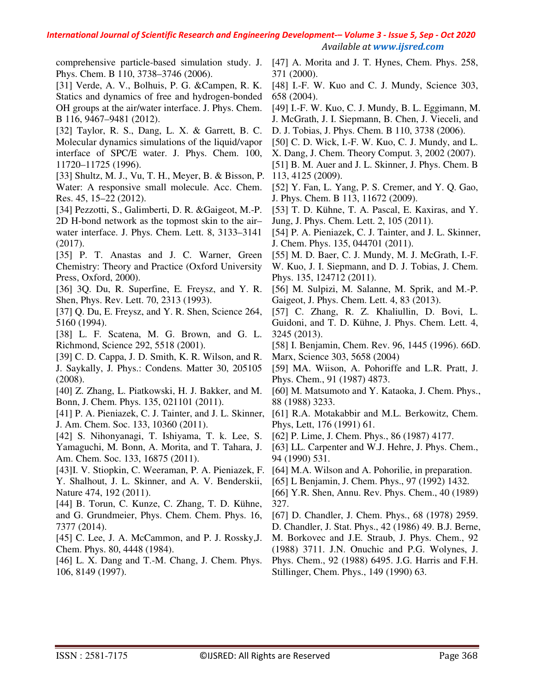comprehensive particle-based simulation study. J. Phys. Chem. B 110, 3738–3746 (2006).

[31] Verde, A. V., Bolhuis, P. G. &Campen, R. K. Statics and dynamics of free and hydrogen-bonded OH groups at the air/water interface. J. Phys. Chem. B 116, 9467–9481 (2012).

[32] Taylor, R. S., Dang, L. X. & Garrett, B. C. Molecular dynamics simulations of the liquid/vapor interface of SPC/E water. J. Phys. Chem. 100, 11720–11725 (1996).

[33] Shultz, M. J., Vu, T. H., Meyer, B. & Bisson, P. Water: A responsive small molecule. Acc. Chem. Res. 45, 15–22 (2012).

[34] Pezzotti, S., Galimberti, D. R. &Gaigeot, M.-P. 2D H-bond network as the topmost skin to the air– water interface. J. Phys. Chem. Lett. 8, 3133–3141 (2017).

[35] P. T. Anastas and J. C. Warner, Green Chemistry: Theory and Practice (Oxford University Press, Oxford, 2000).

[36] 3Q. Du, R. Superfine, E. Freysz, and Y. R. Shen, Phys. Rev. Lett. 70, 2313 (1993).

[37] Q. Du, E. Freysz, and Y. R. Shen, Science 264, 5160 (1994).

[38] L. F. Scatena, M. G. Brown, and G. L. Richmond, Science 292, 5518 (2001).

[39] C. D. Cappa, J. D. Smith, K. R. Wilson, and R. J. Saykally, J. Phys.: Condens. Matter 30, 205105 (2008).

[40] Z. Zhang, L. Piatkowski, H. J. Bakker, and M. Bonn, J. Chem. Phys. 135, 021101 (2011).

[41] P. A. Pieniazek, C. J. Tainter, and J. L. Skinner, J. Am. Chem. Soc. 133, 10360 (2011).

[42] S. Nihonyanagi, T. Ishiyama, T. k. Lee, S. Yamaguchi, M. Bonn, A. Morita, and T. Tahara, J. Am. Chem. Soc. 133, 16875 (2011).

[43]I. V. Stiopkin, C. Weeraman, P. A. Pieniazek, F. Y. Shalhout, J. L. Skinner, and A. V. Benderskii, Nature 474, 192 (2011).

[44] B. Torun, C. Kunze, C. Zhang, T. D. Kühne, and G. Grundmeier, Phys. Chem. Chem. Phys. 16, 7377 (2014).

[45] C. Lee, J. A. McCammon, and P. J. Rossky, J. Chem. Phys. 80, 4448 (1984).

[46] L. X. Dang and T.-M. Chang, J. Chem. Phys. 106, 8149 (1997).

[47] A. Morita and J. T. Hynes, Chem. Phys. 258, 371 (2000).

[48] I.-F. W. Kuo and C. J. Mundy, Science 303, 658 (2004).

[49] I.-F. W. Kuo, C. J. Mundy, B. L. Eggimann, M. J. McGrath, J. I. Siepmann, B. Chen, J. Vieceli, and

- D. J. Tobias, J. Phys. Chem. B 110, 3738 (2006).
- [50] C. D. Wick, I.-F. W. Kuo, C. J. Mundy, and L.

X. Dang, J. Chem. Theory Comput. 3, 2002 (2007). [51] B. M. Auer and J. L. Skinner, J. Phys. Chem. B 113, 4125 (2009).

[52] Y. Fan, L. Yang, P. S. Cremer, and Y. Q. Gao, J. Phys. Chem. B 113, 11672 (2009).

[53] T. D. Kühne, T. A. Pascal, E. Kaxiras, and Y. Jung, J. Phys. Chem. Lett. 2, 105 (2011).

[54] P. A. Pieniazek, C. J. Tainter, and J. L. Skinner, J. Chem. Phys. 135, 044701 (2011).

[55] M. D. Baer, C. J. Mundy, M. J. McGrath, I.-F.

W. Kuo, J. I. Siepmann, and D. J. Tobias, J. Chem. Phys. 135, 124712 (2011).

[56] M. Sulpizi, M. Salanne, M. Sprik, and M.-P. Gaigeot, J. Phys. Chem. Lett. 4, 83 (2013).

[57] C. Zhang, R. Z. Khaliullin, D. Bovi, L. Guidoni, and T. D. Kühne, J. Phys. Chem. Lett. 4, 3245 (2013).

[58] I. Benjamin, Chem. Rev. 96, 1445 (1996). 66D. Marx, Science 303, 5658 (2004)

[59] MA. Wiison, A. Pohoriffe and L.R. Pratt, J. Phys. Chem., 91 (1987) 4873.

[60] M. Matsumoto and Y. Kataoka, J. Chem. Phys., 88 (1988) 3233.

[61] R.A. Motakabbir and M.L. Berkowitz, Chem. Phys, Lett, 176 (1991) 61.

[62] P. Lime, J. Chem. Phys., 86 (1987) 4177.

[63] LL. Carpenter and W.J. Hehre, J. Phys. Chem., 94 (1990) 531.

[64] M.A. Wilson and A. Pohorilie, in preparation.

[65] L Benjamin, J. Chem. Phys., 97 (1992) 1432.

[66] Y.R. Shen, Annu. Rev. Phys. Chem., 40 (1989) 327.

[67] D. Chandler, J. Chem. Phys., 68 (1978) 2959.

D. Chandler, J. Stat. Phys., 42 (1986) 49. B.J. Berne,

M. Borkovec and J.E. Straub, J. Phys. Chem., 92

(1988) 3711. J.N. Onuchic and P.G. Wolynes, J. Phys. Chem., 92 (1988) 6495. J.G. Harris and F.H.

Stillinger, Chem. Phys., 149 (1990) 63.